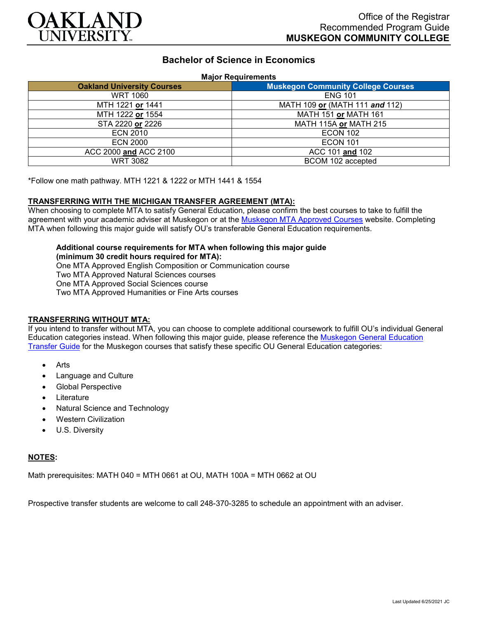

# **Bachelor of Science in Economics**

#### **Major Requirements**

| <b>Oakland University Courses</b> | <b>Muskegon Community College Courses</b> |
|-----------------------------------|-------------------------------------------|
| <b>WRT 1060</b>                   | <b>ENG 101</b>                            |
| MTH 1221 or 1441                  | MATH 109 or (MATH 111 and 112)            |
| MTH 1222 or 1554                  | MATH 151 or MATH 161                      |
| STA 2220 or 2226                  | MATH 115A or MATH 215                     |
| <b>ECN 2010</b>                   | <b>ECON 102</b>                           |
| <b>ECN 2000</b>                   | <b>ECON 101</b>                           |
| ACC 2000 and ACC 2100             | ACC 101 and 102                           |
| <b>WRT 3082</b>                   | BCOM 102 accepted                         |

\*Follow one math pathway. MTH 1221 & 1222 or MTH 1441 & 1554

### **TRANSFERRING WITH THE MICHIGAN TRANSFER AGREEMENT (MTA):**

When choosing to complete MTA to satisfy General Education, please confirm the best courses to take to fulfill the agreement with your academic adviser at Muskegon or at the [Muskegon MTA Approved Courses](https://www.muskegoncc.edu/transferservices/michigan-transfer-agreement/) website. Completing MTA when following this major guide will satisfy OU's transferable General Education requirements.

#### **Additional course requirements for MTA when following this major guide (minimum 30 credit hours required for MTA):**

One MTA Approved English Composition or Communication course Two MTA Approved Natural Sciences courses One MTA Approved Social Sciences course Two MTA Approved Humanities or Fine Arts courses

## **TRANSFERRING WITHOUT MTA:**

If you intend to transfer without MTA, you can choose to complete additional coursework to fulfill OU's individual General Education categories instead. When following this major guide, please reference the [Muskegon General Education](https://www.oakland.edu/Assets/Oakland/program-guides/muskegon-community-college/university-general-education-requirements/Muskegon%20Gen%20Ed.pdf)  [Transfer Guide](https://www.oakland.edu/Assets/Oakland/program-guides/muskegon-community-college/university-general-education-requirements/Muskegon%20Gen%20Ed.pdf) for the Muskegon courses that satisfy these specific OU General Education categories:

- **Arts**
- Language and Culture
- Global Perspective
- **Literature**
- Natural Science and Technology
- Western Civilization
- U.S. Diversity

### **NOTES:**

Math prerequisites: MATH 040 = MTH 0661 at OU, MATH 100A = MTH 0662 at OU

Prospective transfer students are welcome to call 248-370-3285 to schedule an appointment with an adviser.